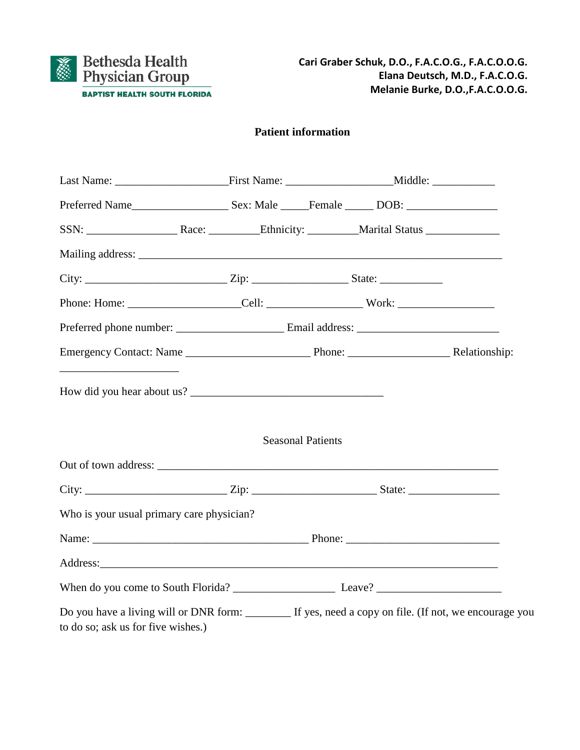

## **Patient information**

|                                                                                                                                              | <b>Seasonal Patients</b> |  |
|----------------------------------------------------------------------------------------------------------------------------------------------|--------------------------|--|
|                                                                                                                                              |                          |  |
|                                                                                                                                              |                          |  |
| Who is your usual primary care physician?                                                                                                    |                          |  |
|                                                                                                                                              |                          |  |
|                                                                                                                                              |                          |  |
|                                                                                                                                              |                          |  |
| Do you have a living will or DNR form: ________ If yes, need a copy on file. (If not, we encourage you<br>to do so; ask us for five wishes.) |                          |  |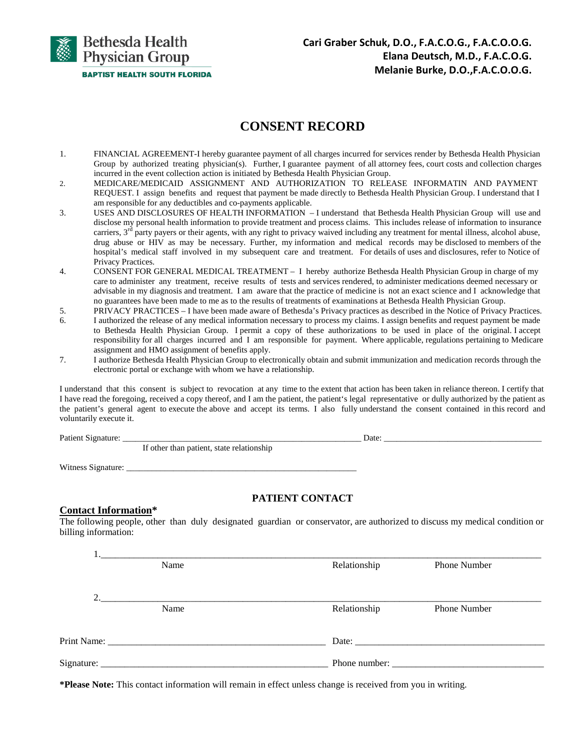

# **CONSENT RECORD**

- 1. FINANCIAL AGREEMENT-I hereby guarantee payment of all charges incurred for services render by Bethesda Health Physician Group by authorized treating physician(s). Further, I guarantee payment of all attorney fees, court costs and collection charges incurred in the event collection action is initiated by Bethesda Health Physician Group.
- 2. MEDICARE/MEDICAID ASSIGNMENT AND AUTHORIZATION TO RELEASE INFORMATIN AND PAYMENT REQUEST. I assign benefits and request that payment be made directly to Bethesda Health Physician Group. I understand that I am responsible for any deductibles and co-payments applicable.
- 3. USES AND DISCLOSURES OF HEALTH INFORMATION I understand that Bethesda Health Physician Group will use and disclose my personal health information to provide treatment and process claims. This includes release of information to insurance carriers,  $3<sup>rd</sup>$  party payers or their agents, with any right to privacy waived including any treatment for mental illness, alcohol abuse, drug abuse or HIV as may be necessary. Further, my information and medical records may be disclosed to members of the hospital's medical staff involved in my subsequent care and treatment. For details of uses and disclosures, refer to Notice of Privacy Practices.
- 4. CONSENT FOR GENERAL MEDICAL TREATMENT I hereby authorize Bethesda Health Physician Group in charge of my care to administer any treatment, receive results of tests and services rendered, to administer medications deemed necessary or advisable in my diagnosis and treatment. I am aware that the practice of medicine is not an exact science and I acknowledge that no guarantees have been made to me as to the results of treatments of examinations at Bethesda Health Physician Group.

5. PRIVACY PRACTICES – I have been made aware of Bethesda's Privacy practices as described in the Notice of Privacy Practices.

- 6. I authorized the release of any medical information necessary to process my claims. I assign benefits and request payment be made to Bethesda Health Physician Group. I permit a copy of these authorizations to be used in place of the original. I accept responsibility for all charges incurred and I am responsible for payment. Where applicable, regulations pertaining to Medicare assignment and HMO assignment of benefits apply.
- 7. I authorize Bethesda Health Physician Group to electronically obtain and submit immunization and medication records through the electronic portal or exchange with whom we have a relationship.

I understand that this consent is subject to revocation at any time to the extent that action has been taken in reliance thereon. I certify that I have read the foregoing, received a copy thereof, and I am the patient, the patient's legal representative or dully authorized by the patient as the patient's general agent to execute the above and accept its terms. I also fully understand the consent contained in this record and voluntarily execute it.

Patient Signature: \_\_\_\_\_\_\_\_\_\_\_\_\_\_\_\_\_\_\_\_\_\_\_\_\_\_\_\_\_\_\_\_\_\_\_\_\_\_\_\_\_\_\_\_\_\_\_\_\_\_\_\_\_\_\_\_ Date: \_\_\_\_\_\_\_\_\_\_\_\_\_\_\_\_\_\_\_\_\_\_\_\_\_\_\_\_\_\_\_\_\_\_\_\_\_

If other than patient, state relationship

Witness Signature:

### **PATIENT CONTACT**

### **Contact Information\***

The following people, other than duly designated guardian or conservator, are authorized to discuss my medical condition or billing information:

| Name | Relationship | Phone Number        |  |
|------|--------------|---------------------|--|
|      |              |                     |  |
|      |              |                     |  |
| Name | Relationship | <b>Phone Number</b> |  |
|      |              |                     |  |
|      |              |                     |  |
|      |              | Phone number:       |  |
|      |              |                     |  |

**\*Please Note:** This contact information will remain in effect unless change is received from you in writing.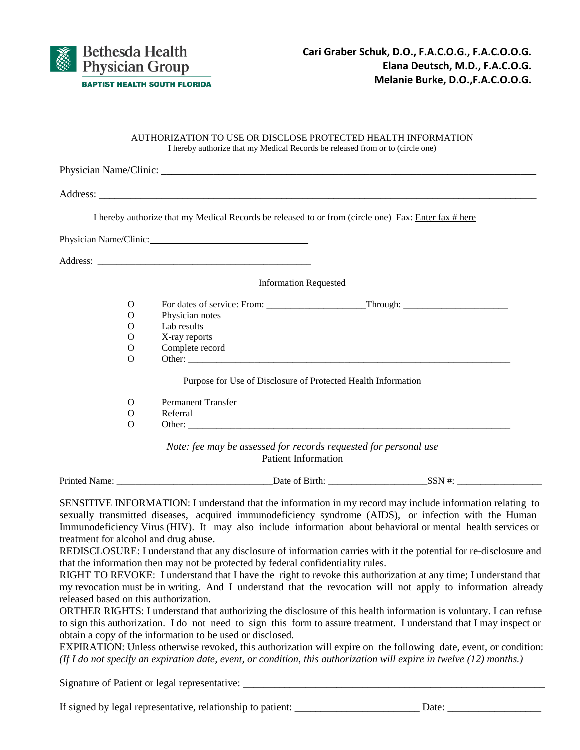

#### AUTHORIZATION TO USE OR DISCLOSE PROTECTED HEALTH INFORMATION I hereby authorize that my Medical Records be released from or to (circle one)

|          | I hereby authorize that my Medical Records be released to or from (circle one) Fax: Enter fax # here |
|----------|------------------------------------------------------------------------------------------------------|
|          | Physician Name/Clinic:                                                                               |
|          |                                                                                                      |
|          |                                                                                                      |
|          | <b>Information Requested</b>                                                                         |
| $\Omega$ |                                                                                                      |
| $\Omega$ | Physician notes                                                                                      |
| $\Omega$ | Lab results                                                                                          |
| $\Omega$ | X-ray reports                                                                                        |
| $\Omega$ | Complete record                                                                                      |
| $\Omega$ |                                                                                                      |
|          | Purpose for Use of Disclosure of Protected Health Information                                        |
| $\Omega$ | <b>Permanent Transfer</b>                                                                            |
| $\Omega$ | Referral                                                                                             |
| $\Omega$ |                                                                                                      |

| Prime.<br>−<br><br>_ | .<br>Jate | ᠈⊾<br> |  |
|----------------------|-----------|--------|--|
|                      |           |        |  |

SENSITIVE INFORMATION: I understand that the information in my record may include information relating to sexually transmitted diseases, acquired immunodeficiency syndrome (AIDS), or infection with the Human Immunodeficiency Virus (HIV). It may also include information about behavioral or mental health services or treatment for alcohol and drug abuse.

REDISCLOSURE: I understand that any disclosure of information carries with it the potential for re-disclosure and that the information then may not be protected by federal confidentiality rules.

RIGHT TO REVOKE: I understand that I have the right to revoke this authorization at any time; I understand that my revocation must be in writing. And I understand that the revocation will not apply to information already released based on this authorization.

ORTHER RIGHTS: I understand that authorizing the disclosure of this health information is voluntary. I can refuse to sign this authorization. I do not need to sign this form to assure treatment. I understand that I may inspect or obtain a copy of the information to be used or disclosed.

EXPIRATION: Unless otherwise revoked, this authorization will expire on the following date, event, or condition: *(If I do not specify an expiration date, event, or condition, this authorization will expire in twelve (12) months.)*

Signature of Patient or legal representative: \_\_\_\_\_\_\_\_\_\_\_\_\_\_\_\_\_\_\_\_\_\_\_\_\_\_\_\_\_\_\_\_\_\_

If signed by legal representative, relationship to patient: \_\_\_\_\_\_\_\_\_\_\_\_\_\_\_\_\_\_\_\_\_\_\_\_ Date: \_\_\_\_\_\_\_\_\_\_\_\_\_\_\_\_\_\_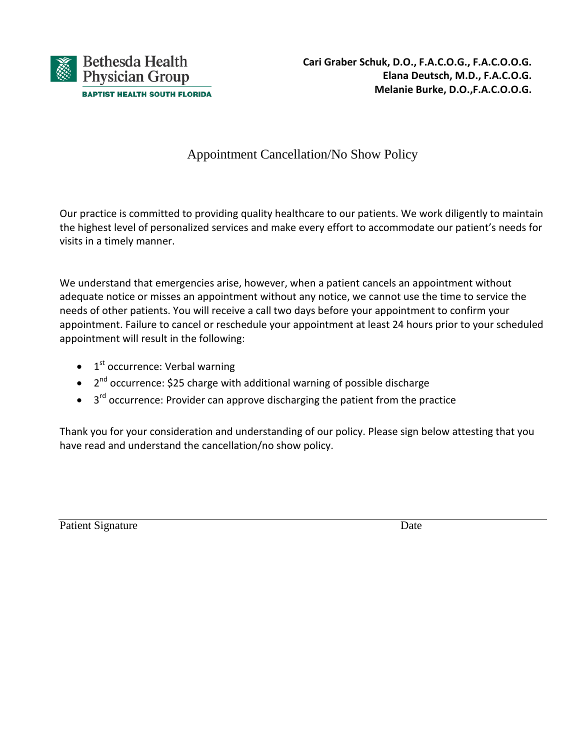

# Appointment Cancellation/No Show Policy

Our practice is committed to providing quality healthcare to our patients. We work diligently to maintain the highest level of personalized services and make every effort to accommodate our patient's needs for visits in a timely manner.

We understand that emergencies arise, however, when a patient cancels an appointment without adequate notice or misses an appointment without any notice, we cannot use the time to service the needs of other patients. You will receive a call two days before your appointment to confirm your appointment. Failure to cancel or reschedule your appointment at least 24 hours prior to your scheduled appointment will result in the following:

- $\bullet$  1<sup>st</sup> occurrence: Verbal warning
- 2<sup>nd</sup> occurrence: \$25 charge with additional warning of possible discharge
- $\bullet$  3<sup>rd</sup> occurrence: Provider can approve discharging the patient from the practice

Thank you for your consideration and understanding of our policy. Please sign below attesting that you have read and understand the cancellation/no show policy.

Patient Signature Date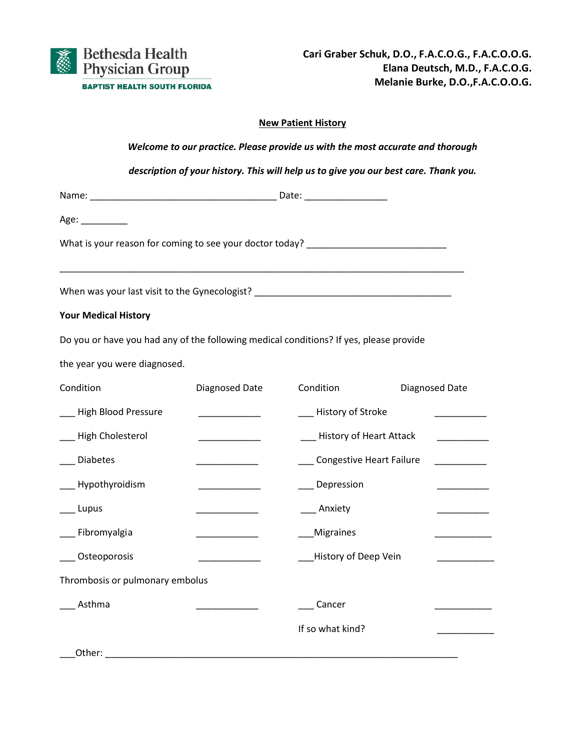

### **New Patient History**

|                                                                                                                                                                |                                                                                                                                                                                                                                      | Welcome to our practice. Please provide us with the most accurate and thorough       |                                          |
|----------------------------------------------------------------------------------------------------------------------------------------------------------------|--------------------------------------------------------------------------------------------------------------------------------------------------------------------------------------------------------------------------------------|--------------------------------------------------------------------------------------|------------------------------------------|
|                                                                                                                                                                |                                                                                                                                                                                                                                      | description of your history. This will help us to give you our best care. Thank you. |                                          |
|                                                                                                                                                                |                                                                                                                                                                                                                                      |                                                                                      |                                          |
| Age:                                                                                                                                                           |                                                                                                                                                                                                                                      |                                                                                      |                                          |
| What is your reason for coming to see your doctor today? _______________________                                                                               |                                                                                                                                                                                                                                      |                                                                                      |                                          |
| When was your last visit to the Gynecologist?<br>The manufacture of the contract of the state of the state of the state of the state of the state of the state |                                                                                                                                                                                                                                      |                                                                                      |                                          |
| <b>Your Medical History</b>                                                                                                                                    |                                                                                                                                                                                                                                      |                                                                                      |                                          |
| Do you or have you had any of the following medical conditions? If yes, please provide                                                                         |                                                                                                                                                                                                                                      |                                                                                      |                                          |
| the year you were diagnosed.                                                                                                                                   |                                                                                                                                                                                                                                      |                                                                                      |                                          |
| Condition                                                                                                                                                      | Diagnosed Date                                                                                                                                                                                                                       | Condition                                                                            | Diagnosed Date                           |
| ___ High Blood Pressure                                                                                                                                        |                                                                                                                                                                                                                                      | ___ History of Stroke                                                                | <u> Liston College (College College)</u> |
| __ High Cholesterol                                                                                                                                            | <u> The Common State State State State State State State State State State State State State State State State State State State State State State State State State State State State State State State State State State State</u> | __ History of Heart Attack                                                           | $\overline{\phantom{a}}$                 |
| Diabetes                                                                                                                                                       | <u> De Carlos de Carlos de Ca</u>                                                                                                                                                                                                    | Congestive Heart Failure                                                             | <b>Contract Contract Contract</b>        |
| __ Hypothyroidism                                                                                                                                              | and the company of the                                                                                                                                                                                                               | __ Depression                                                                        |                                          |
| Lupus                                                                                                                                                          | <u> De Carlos de Carlos de Carlos de Carlos de Carlos de Carlos de Carlos de Carlos de Carlos de Carlos de Carlos de Carlos de Carlos de Carlos de Carlos de Carlos de Carlos de Carlos de Carlos de Carlos de Carlos de Carlos </u> | _ Anxiety                                                                            |                                          |
| _ Fibromyalgia                                                                                                                                                 |                                                                                                                                                                                                                                      | Migraines                                                                            |                                          |
| Osteoporosis                                                                                                                                                   |                                                                                                                                                                                                                                      | History of Deep Vein                                                                 |                                          |
| Thrombosis or pulmonary embolus                                                                                                                                |                                                                                                                                                                                                                                      |                                                                                      |                                          |
| Asthma                                                                                                                                                         |                                                                                                                                                                                                                                      | Cancer                                                                               |                                          |
|                                                                                                                                                                |                                                                                                                                                                                                                                      | If so what kind?                                                                     |                                          |
| Other:                                                                                                                                                         |                                                                                                                                                                                                                                      |                                                                                      |                                          |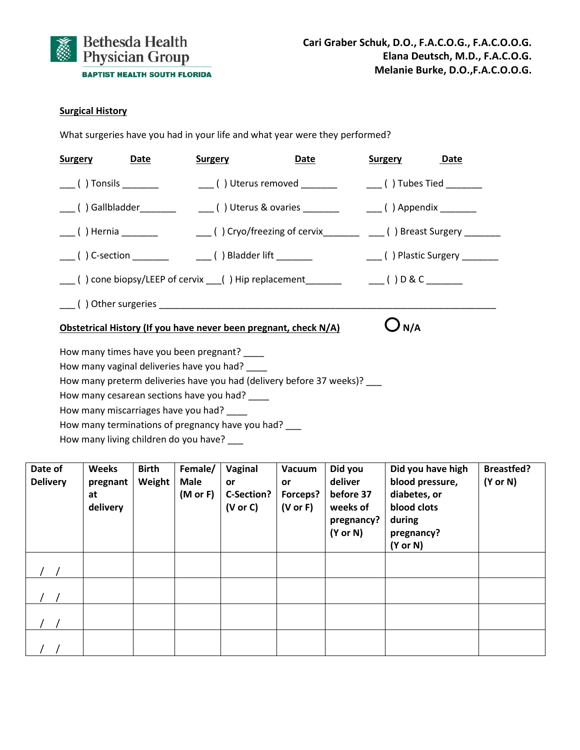

### **Surgical History**

What surgeries have you had in your life and what year were they performed?

| <b>Surgery</b> | <b>Date</b>                                                                                                                                                                                | <b>Surgery</b> | <u>Date</u>                                                                                         | <b>Surgery</b> | Date |
|----------------|--------------------------------------------------------------------------------------------------------------------------------------------------------------------------------------------|----------------|-----------------------------------------------------------------------------------------------------|----------------|------|
|                | $\qquad \qquad \qquad$ ( ) Tonsils $\qquad \qquad \qquad$                                                                                                                                  |                |                                                                                                     |                |      |
|                |                                                                                                                                                                                            |                | ____()Gallbladder___________  _____( )Uterus & ovaries __________   ____( )Appendix _________       |                |      |
|                |                                                                                                                                                                                            |                | ____( ) Hernia _________    ____( ) Cryo/freezing of cervix________ ____( ) Breast Surgery ________ |                |      |
|                |                                                                                                                                                                                            |                | ____( ) C-section _________   ____( ) Bladder lift _________      ____( ) Plastic Surgery ________  |                |      |
|                |                                                                                                                                                                                            |                | ___() cone biopsy/LEEP of cervix ___() Hip replacement________________() D & C _______              |                |      |
|                |                                                                                                                                                                                            |                |                                                                                                     |                |      |
|                |                                                                                                                                                                                            |                | Obstetrical History (If you have never been pregnant, check N/A)                                    | $\bigcup$ N/A  |      |
|                | How many times have you been pregnant? ____<br>How many vaginal deliveries have you had? ____<br>How many cesarean sections have you had? ____<br>How many miscarriages have you had? ____ |                | How many preterm deliveries have you had (delivery before 37 weeks)? ___                            |                |      |
|                | المعط يبمن منبعط يتمعوه ومعتقبة معرونا ومستحدث ومستحدث                                                                                                                                     |                |                                                                                                     |                |      |

How many terminations of pregnancy have you had?  $\frac{1}{\sqrt{1-\frac{1}{n}}}$ 

How many living children do you have? \_\_\_

| Date of<br><b>Delivery</b> | <b>Weeks</b><br>pregnant<br>at<br>delivery | <b>Birth</b><br>Weight | Female/<br><b>Male</b><br>(M or F) | Vaginal<br><b>or</b><br>C-Section?<br>(V or C) | Vacuum<br><b>or</b><br>Forceps?<br>$(V \text{ or } F)$ | Did you<br>deliver<br>before 37<br>weeks of<br>pregnancy?<br>$(Y \text{ or } N)$ | Did you have high<br>blood pressure,<br>diabetes, or<br>blood clots<br>during<br>pregnancy?<br>$(Y \text{ or } N)$ | <b>Breastfed?</b><br>$(Y \text{ or } N)$ |
|----------------------------|--------------------------------------------|------------------------|------------------------------------|------------------------------------------------|--------------------------------------------------------|----------------------------------------------------------------------------------|--------------------------------------------------------------------------------------------------------------------|------------------------------------------|
|                            |                                            |                        |                                    |                                                |                                                        |                                                                                  |                                                                                                                    |                                          |
|                            |                                            |                        |                                    |                                                |                                                        |                                                                                  |                                                                                                                    |                                          |
|                            |                                            |                        |                                    |                                                |                                                        |                                                                                  |                                                                                                                    |                                          |
|                            |                                            |                        |                                    |                                                |                                                        |                                                                                  |                                                                                                                    |                                          |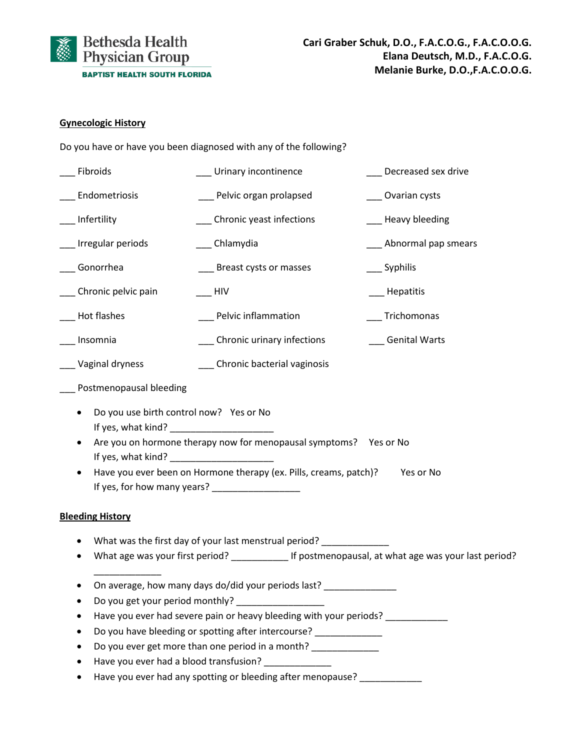

### **Gynecologic History**

Do you have or have you been diagnosed with any of the following?

| Fibroids                                                                                    | _ Urinary incontinence                                                                                                                                                                                                                                                                       | Decreased sex drive                                                                  |
|---------------------------------------------------------------------------------------------|----------------------------------------------------------------------------------------------------------------------------------------------------------------------------------------------------------------------------------------------------------------------------------------------|--------------------------------------------------------------------------------------|
| Endometriosis                                                                               | __ Pelvic organ prolapsed                                                                                                                                                                                                                                                                    | Ovarian cysts                                                                        |
| Infertility                                                                                 | _ Chronic yeast infections                                                                                                                                                                                                                                                                   | _ Heavy bleeding                                                                     |
| __ Irregular periods                                                                        | __ Chlamydia                                                                                                                                                                                                                                                                                 | Abnormal pap smears                                                                  |
| Gonorrhea                                                                                   | Breast cysts or masses                                                                                                                                                                                                                                                                       | Syphilis                                                                             |
| Chronic pelvic pain                                                                         | HIV                                                                                                                                                                                                                                                                                          | Hepatitis                                                                            |
| Hot flashes                                                                                 | __ Pelvic inflammation                                                                                                                                                                                                                                                                       | Trichomonas                                                                          |
| Insomnia                                                                                    | ___ Chronic urinary infections                                                                                                                                                                                                                                                               | __ Genital Warts                                                                     |
| Vaginal dryness                                                                             | ___ Chronic bacterial vaginosis                                                                                                                                                                                                                                                              |                                                                                      |
| Postmenopausal bleeding                                                                     |                                                                                                                                                                                                                                                                                              |                                                                                      |
| Do you use birth control now? Yes or No<br>٠<br>If yes, what kind? ________________________ | Are you on hormone therapy now for menopausal symptoms? Yes or No<br>Have you ever been on Hormone therapy (ex. Pills, creams, patch)?<br>If yes, for how many years? __________________                                                                                                     | Yes or No                                                                            |
| <b>Bleeding History</b>                                                                     |                                                                                                                                                                                                                                                                                              |                                                                                      |
|                                                                                             | What was the first day of your last menstrual period?                                                                                                                                                                                                                                        | What age was your first period? If postmenopausal, at what age was your last period? |
| Do you get your period monthly?                                                             | On average, how many days do/did your periods last?<br>Have you ever had severe pain or heavy bleeding with your periods?<br>Do you have bleeding or spotting after intercourse?<br>Do you ever get more than one period in a month?<br>Have you ever had a blood transfusion? _____________ |                                                                                      |
|                                                                                             | Have you ever had any spotting or bleeding after menopause?                                                                                                                                                                                                                                  |                                                                                      |